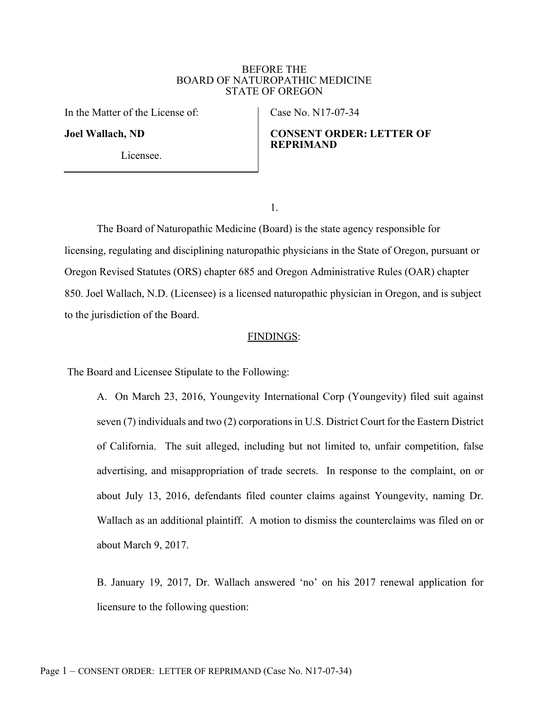## BEFORE THE BOARD OF NATUROPATHIC MEDICINE STATE OF OREGON

In the Matter of the License of:

Joel Wallach, ND

Case No. N17-07-34

# CONSENT ORDER: LETTER OF REPRIMAND

Licensee.

1.

The Board of Naturopathic Medicine (Board) is the state agency responsible for licensing, regulating and disciplining naturopathic physicians in the State of Oregon, pursuant or Oregon Revised Statutes (ORS) chapter 685 and Oregon Administrative Rules (OAR) chapter 850. Joel Wallach, N.D. (Licensee) is a licensed naturopathic physician in Oregon, and is subject to the jurisdiction of the Board.

## FINDINGS:

The Board and Licensee Stipulate to the Following:

 A. On March 23, 2016, Youngevity International Corp (Youngevity) filed suit against seven (7) individuals and two (2) corporations in U.S. District Court for the Eastern District of California. The suit alleged, including but not limited to, unfair competition, false advertising, and misappropriation of trade secrets. In response to the complaint, on or about July 13, 2016, defendants filed counter claims against Youngevity, naming Dr. Wallach as an additional plaintiff. A motion to dismiss the counterclaims was filed on or about March 9, 2017.

 B. January 19, 2017, Dr. Wallach answered 'no' on his 2017 renewal application for licensure to the following question: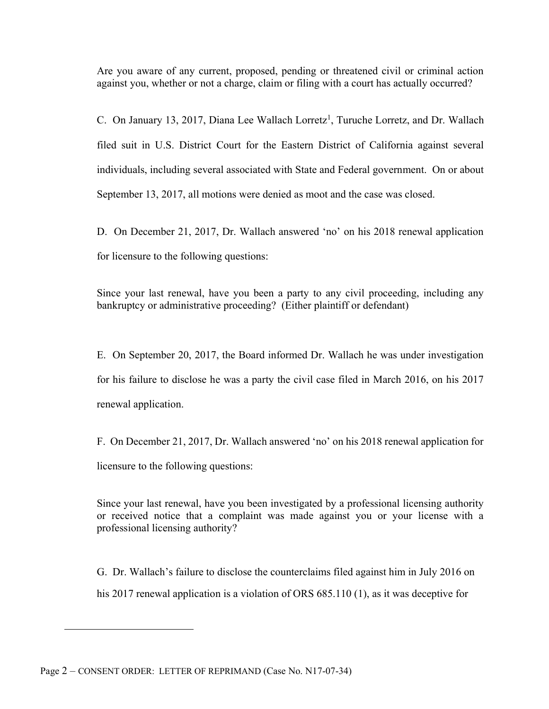Are you aware of any current, proposed, pending or threatened civil or criminal action against you, whether or not a charge, claim or filing with a court has actually occurred?

C. On January 13, 2017, Diana Lee Wallach Lorretz<sup>1</sup>, Turuche Lorretz, and Dr. Wallach filed suit in U.S. District Court for the Eastern District of California against several individuals, including several associated with State and Federal government. On or about September 13, 2017, all motions were denied as moot and the case was closed.

 D. On December 21, 2017, Dr. Wallach answered 'no' on his 2018 renewal application for licensure to the following questions:

Since your last renewal, have you been a party to any civil proceeding, including any bankruptcy or administrative proceeding? (Either plaintiff or defendant)

 E. On September 20, 2017, the Board informed Dr. Wallach he was under investigation for his failure to disclose he was a party the civil case filed in March 2016, on his 2017 renewal application.

 F. On December 21, 2017, Dr. Wallach answered 'no' on his 2018 renewal application for licensure to the following questions:

Since your last renewal, have you been investigated by a professional licensing authority or received notice that a complaint was made against you or your license with a professional licensing authority?

 G. Dr. Wallach's failure to disclose the counterclaims filed against him in July 2016 on his 2017 renewal application is a violation of ORS 685.110 (1), as it was deceptive for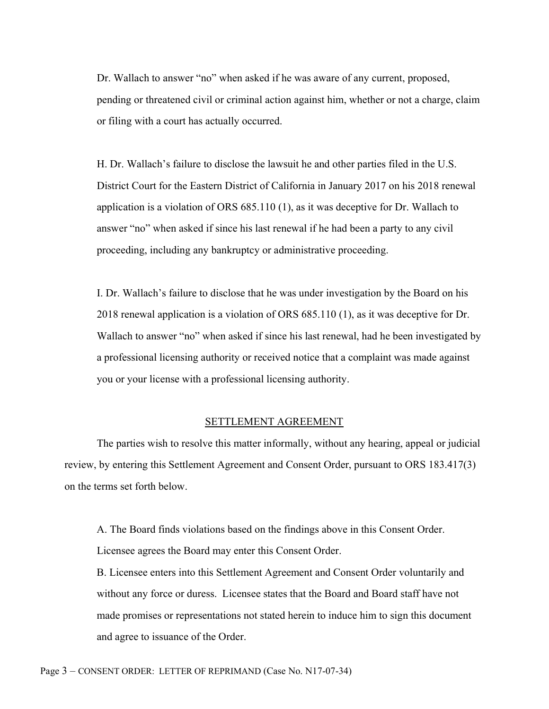Dr. Wallach to answer "no" when asked if he was aware of any current, proposed, pending or threatened civil or criminal action against him, whether or not a charge, claim or filing with a court has actually occurred.

 H. Dr. Wallach's failure to disclose the lawsuit he and other parties filed in the U.S. District Court for the Eastern District of California in January 2017 on his 2018 renewal application is a violation of ORS 685.110 (1), as it was deceptive for Dr. Wallach to answer "no" when asked if since his last renewal if he had been a party to any civil proceeding, including any bankruptcy or administrative proceeding.

 I. Dr. Wallach's failure to disclose that he was under investigation by the Board on his 2018 renewal application is a violation of ORS 685.110 (1), as it was deceptive for Dr. Wallach to answer "no" when asked if since his last renewal, had he been investigated by a professional licensing authority or received notice that a complaint was made against you or your license with a professional licensing authority.

## SETTLEMENT AGREEMENT

The parties wish to resolve this matter informally, without any hearing, appeal or judicial review, by entering this Settlement Agreement and Consent Order, pursuant to ORS 183.417(3) on the terms set forth below.

 A. The Board finds violations based on the findings above in this Consent Order. Licensee agrees the Board may enter this Consent Order.

 B. Licensee enters into this Settlement Agreement and Consent Order voluntarily and without any force or duress. Licensee states that the Board and Board staff have not made promises or representations not stated herein to induce him to sign this document and agree to issuance of the Order.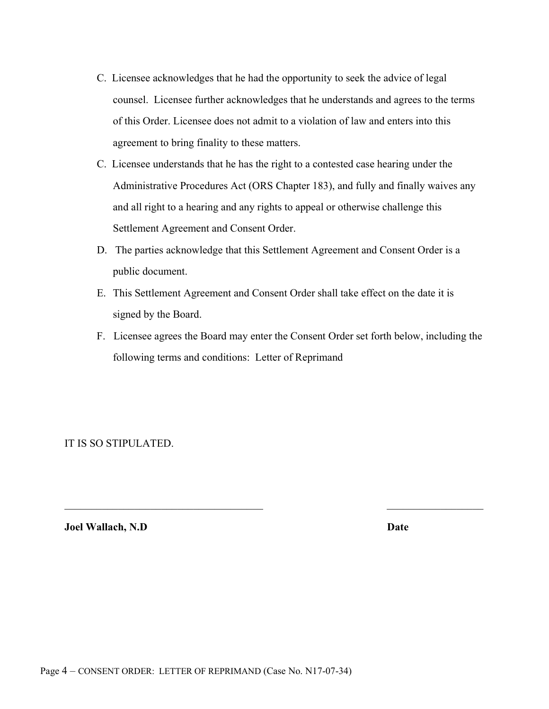- C. Licensee acknowledges that he had the opportunity to seek the advice of legal counsel. Licensee further acknowledges that he understands and agrees to the terms of this Order. Licensee does not admit to a violation of law and enters into this agreement to bring finality to these matters.
- C. Licensee understands that he has the right to a contested case hearing under the Administrative Procedures Act (ORS Chapter 183), and fully and finally waives any and all right to a hearing and any rights to appeal or otherwise challenge this Settlement Agreement and Consent Order.
- D. The parties acknowledge that this Settlement Agreement and Consent Order is a public document.
- E. This Settlement Agreement and Consent Order shall take effect on the date it is signed by the Board.
- F. Licensee agrees the Board may enter the Consent Order set forth below, including the following terms and conditions: Letter of Reprimand

IT IS SO STIPULATED.

**Joel Wallach, N.D Date**